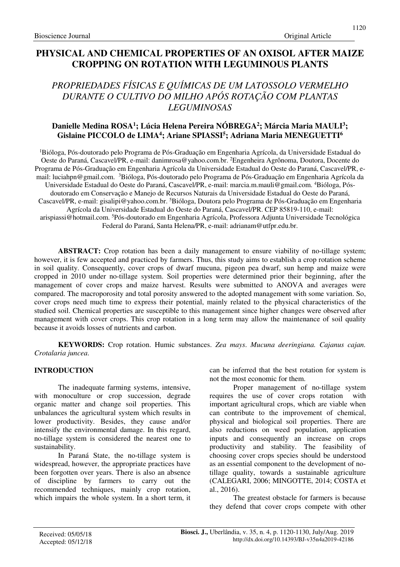## **PHYSICAL AND CHEMICAL PROPERTIES OF AN OXISOL AFTER MAIZE CROPPING ON ROTATION WITH LEGUMINOUS PLANTS**

# *PROPRIEDADES FÍSICAS E QUÍMICAS DE UM LATOSSOLO VERMELHO DURANTE O CULTIVO DO MILHO APÓS ROTAÇÃO COM PLANTAS LEGUMINOSAS*

## **Danielle Medina ROSA<sup>1</sup> ; Lúcia Helena Pereira NÓBREGA<sup>2</sup> ; Márcia Maria MAULI<sup>3</sup> ; Gislaine PICCOLO de LIMA<sup>4</sup> ; Ariane SPIASSI<sup>5</sup> ; Adriana Maria MENEGUETTI<sup>6</sup>**

<sup>1</sup>Bióloga, Pós-doutorado pelo Programa de Pós-Graduação em Engenharia Agrícola, da Universidade Estadual do Oeste do Paraná, Cascavel/PR, e-mail: danimrosa@yahoo.com.br. <sup>2</sup>Engenheira Agrônoma, Doutora, Docente do Programa de Pós-Graduação em Engenharia Agrícola da Universidade Estadual do Oeste do Paraná, Cascavel/PR, email: luciahpn@gmail.com. <sup>3</sup>Bióloga, Pós-doutorado pelo Programa de Pós-Graduação em Engenharia Agrícola da Universidade Estadual do Oeste do Paraná, Cascavel/PR, e-mail: marcia.m.mauli@gmail.com. 4Bióloga, Pósdoutorado em Conservação e Manejo de Recursos Naturais da Universidade Estadual do Oeste do Paraná, Cascavel/PR, e-mail: gisalipi@yahoo.com.br. <sup>5</sup>Bióloga, Doutora pelo Programa de Pós-Graduação em Engenharia Agrícola da Universidade Estadual do Oeste do Paraná, Cascavel/PR. CEP 85819-110, e-mail: arispiassi@hotmail.com. <sup>5</sup>Pós-doutorado em Engenharia Agrícola, Professora Adjunta Universidade Tecnológica Federal do Paraná, Santa Helena/PR, e-mail: adrianam@utfpr.edu.br.

**ABSTRACT:** Crop rotation has been a daily management to ensure viability of no-tillage system; however, it is few accepted and practiced by farmers. Thus, this study aims to establish a crop rotation scheme in soil quality. Consequently, cover crops of dwarf mucuna, pigeon pea dwarf, sun hemp and maize were cropped in 2010 under no-tillage system. Soil properties were determined prior their beginning, after the management of cover crops and maize harvest. Results were submitted to ANOVA and averages were compared. The macroporosity and total porosity answered to the adopted management with some variation. So, cover crops need much time to express their potential, mainly related to the physical characteristics of the studied soil. Chemical properties are susceptible to this management since higher changes were observed after management with cover crops. This crop rotation in a long term may allow the maintenance of soil quality because it avoids losses of nutrients and carbon.

**KEYWORDS:** Crop rotation. Humic substances. *Zea mays*. *Mucuna deeringiana. Cajanus cajan. Crotalaria juncea*.

## **INTRODUCTION**

The inadequate farming systems, intensive, with monoculture or crop succession, degrade organic matter and change soil properties. This unbalances the agricultural system which results in lower productivity. Besides, they cause and/or intensify the environmental damage. In this regard, no-tillage system is considered the nearest one to sustainability.

In Paraná State, the no-tillage system is widespread, however, the appropriate practices have been forgotten over years. There is also an absence of discipline by farmers to carry out the recommended techniques, mainly crop rotation, which impairs the whole system. In a short term, it can be inferred that the best rotation for system is not the most economic for them.

Proper management of no-tillage system requires the use of cover crops rotation with important agricultural crops, which are viable when can contribute to the improvement of chemical, physical and biological soil properties. There are also reductions on weed population, application inputs and consequently an increase on crops productivity and stability. The feasibility of choosing cover crops species should be understood as an essential component to the development of notillage quality, towards a sustainable agriculture (CALEGARI, 2006; MINGOTTE, 2014; COSTA et al., 2016).

The greatest obstacle for farmers is because they defend that cover crops compete with other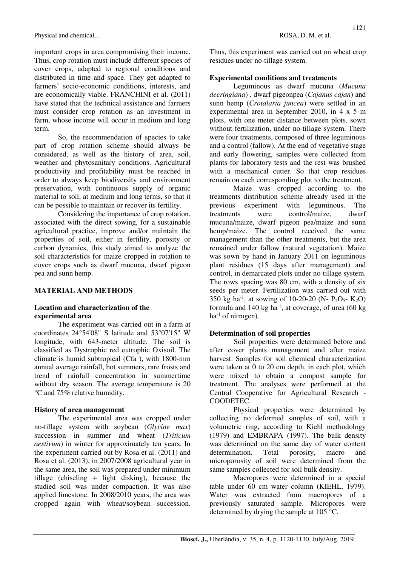important crops in area compromising their income. Thus, crop rotation must include different species of cover crops, adapted to regional conditions and distributed in time and space. They get adapted to farmers' socio-economic conditions, interests, and are economically viable. FRANCHINI et al. (2011) have stated that the technical assistance and farmers must consider crop rotation as an investment in farm, whose income will occur in medium and long term.

So, the recommendation of species to take part of crop rotation scheme should always be considered, as well as the history of area, soil, weather and phytosanitary conditions. Agricultural productivity and profitability must be reached in order to always keep biodiversity and environment preservation, with continuous supply of organic material to soil, at medium and long terms, so that it can be possible to maintain or recover its fertility.

Considering the importance of crop rotation, associated with the direct sowing, for a sustainable agricultural practice, improve and/or maintain the properties of soil, either in fertility, porosity or carbon dynamics, this study aimed to analyze the soil characteristics for maize cropped in rotation to cover crops such as dwarf mucuna, dwarf pigeon pea and sunn hemp.

### **MATERIAL AND METHODS**

## **Location and characterization of the experimental area**

The experiment was carried out in a farm at coordinates 24°54'08" S latitude and 53°07'15" W longitude, with 643-meter altitude. The soil is classified as Dystrophic red eutrophic Oxisoil. The climate is humid subtropical (Cfa ), with 1800-mm annual average rainfall, hot summers, rare frosts and trend of rainfall concentration in summertime without dry season. The average temperature is 20 °C and 75% relative humidity.

### **History of area management**

The experimental area was cropped under no-tillage system with soybean (*Glycine max*) succession in summer and wheat (*Triticum aestivum*) in winter for approximately ten years. In the experiment carried out by Rosa et al. (2011) and Rosa et al. (2013), in 2007/2008 agricultural year in the same area, the soil was prepared under minimum tillage (chiseling + light disking), because the studied soil was under compaction. It was also applied limestone. In 2008/2010 years, the area was cropped again with wheat/soybean succession. Thus, this experiment was carried out on wheat crop residues under no-tillage system.

## **Experimental conditions and treatments**

Leguminous as dwarf mucuna (*Mucuna deeringiana*) , dwarf pigeonpea (*Cajanus cajan*) and sunn hemp (*Crotalaria juncea*) were settled in an experimental area in September 2010, in 4 x 5 m plots, with one meter distance between plots, sown without fertilization, under no-tillage system. There were four treatments, composed of three leguminous and a control (fallow). At the end of vegetative stage and early flowering, samples were collected from plants for laboratory tests and the rest was brushed with a mechanical cutter. So that crop residues remain on each corresponding plot to the treatment.

Maize was cropped according to the treatments distribution scheme already used in the previous experiment with leguminous. The treatments were control/maize, dwarf mucuna/maize, dwarf pigeon pea/maize and sunn hemp/maize. The control received the same management than the other treatments, but the area remained under fallow (natural vegetation). Maize was sown by hand in January 2011 on leguminous plant residues (15 days after management) and control, in demarcated plots under no-tillage system. The rows spacing was 80 cm, with a density of six seeds per meter. Fertilization was carried out with 350 kg ha<sup>-1</sup>, at sowing of 10-20-20 (N- P<sub>2</sub>O<sub>5</sub>- K<sub>2</sub>O) formula and  $140 \text{ kg}$  ha<sup>-1</sup>, at coverage, of urea (60 kg)  $ha^{-1}$  of nitrogen).

## **Determination of soil properties**

Soil properties were determined before and after cover plants management and after maize harvest. Samples for soil chemical characterization were taken at 0 to 20 cm depth, in each plot, which were mixed to obtain a compost sample for treatment. The analyses were performed at the Central Cooperative for Agricultural Research - COODETEC.

Physical properties were determined by collecting no deformed samples of soil, with a volumetric ring, according to Kiehl methodology (1979) and EMBRAPA (1997). The bulk density was determined on the same day of water content determination. Total porosity, macro and microporosity of soil were determined from the same samples collected for soil bulk density.

Macropores were determined in a special table under 60 cm water column (KIEHL, 1979). Water was extracted from macropores of a previously saturated sample. Micropores were determined by drying the sample at 105 °C.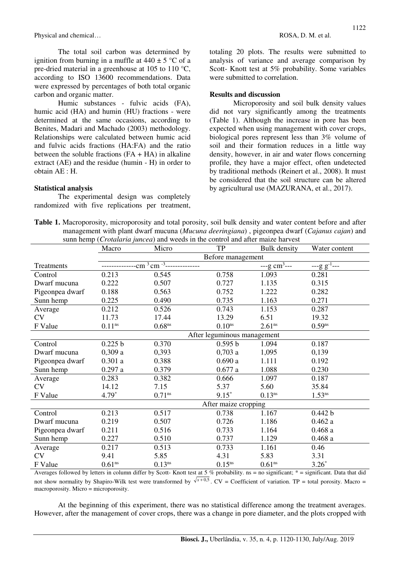Physical and chemical… **ROSA, D. M. et al. ROSA, D. M. et al.** 

The total soil carbon was determined by ignition from burning in a muffle at  $440 \pm 5$  °C of a pre-dried material in a greenhouse at 105 to 110 °C, according to ISO 13600 recommendations. Data were expressed by percentages of both total organic carbon and organic matter.

Humic substances - fulvic acids (FA), humic acid (HA) and humin (HU) fractions - were determined at the same occasions, according to Benites, Madari and Machado (2003) methodology. Relationships were calculated between humic acid and fulvic acids fractions (HA:FA) and the ratio between the soluble fractions  $(FA + HA)$  in alkaline extract (AE) and the residue (humin - H) in order to obtain AE : H.

#### **Statistical analysis**

The experimental design was completely randomized with five replications per treatment, totaling 20 plots. The results were submitted to analysis of variance and average comparison by Scott- Knott test at 5% probability. Some variables were submitted to correlation.

#### **Results and discussion**

Microporosity and soil bulk density values did not vary significantly among the treatments (Table 1). Although the increase in pore has been expected when using management with cover crops, biological pores represent less than 3% volume of soil and their formation reduces in a little way density, however, in air and water flows concerning profile, they have a major effect, often undetected by traditional methods (Reinert et al., 2008). It must be considered that the soil structure can be altered by agricultural use (MAZURANA, et al., 2017).

**Table 1.** Macroporosity, microporosity and total porosity, soil bulk density and water content before and after management with plant dwarf mucuna (*Mucuna deeringiana*) , pigeonpea dwarf (*Cajanus cajan*) and sunn hemp (*Crotalaria juncea*) and weeds in the control and after maize harvest

|                 | Macro              | Micro                                                          | <b>TP</b>                   | <b>Bulk</b> density           | Water content              |
|-----------------|--------------------|----------------------------------------------------------------|-----------------------------|-------------------------------|----------------------------|
|                 |                    |                                                                | Before management           |                               |                            |
| Treatments      |                    | $-cm^{3}$ $\overline{cm^{-3}}$ $\overline{\phantom{cm^{-3}}}}$ |                             | $-$ -g cm <sup>3</sup> $-$ -- | $-$ -g g <sup>-1</sup> --- |
| Control         | 0.213              | 0.545                                                          | 0.758                       | 1.093                         | 0.281                      |
| Dwarf mucuna    | 0.222              | 0.507                                                          | 0.727                       | 1.135                         | 0.315                      |
| Pigeonpea dwarf | 0.188              | 0.563                                                          | 0.752                       | 1.222                         | 0.282                      |
| Sunn hemp       | 0.225              | 0.490                                                          | 0.735                       | 1.163                         | 0.271                      |
| Average         | 0.212              | 0.526                                                          | 0.743                       | 1.153                         | 0.287                      |
| <b>CV</b>       | 11.73              | 17.44                                                          | 13.29                       | 6.51                          | 19.32                      |
| F Value         | $0.11^{ns}$        | $0.68$ ns                                                      | $0.10$ <sup>ns</sup>        | $2.61^{ns}$                   | $0.59$ <sup>ns</sup>       |
|                 |                    |                                                                | After leguminous management |                               |                            |
| Control         | 0.225 b            | 0.370                                                          | 0.595 b                     | 1.094                         | 0.187                      |
| Dwarf mucuna    | 0,309a             | 0,393                                                          | 0,703a                      | 1,095                         | 0,139                      |
| Pigeonpea dwarf | 0.301a             | 0.388                                                          | 0.690a                      | 1.111                         | 0.192                      |
| Sunn hemp       | 0.297a             | 0.379                                                          | 0.677a                      | 1.088                         | 0.230                      |
| Average         | 0.283              | 0.382                                                          | 0.666                       | 1.097                         | 0.187                      |
| <b>CV</b>       | 14.12              | 7.15                                                           | 5.37                        | 5.60                          | 35.84                      |
| F Value         | $4.79*$            | $0.71^{ns}$                                                    | $9.15*$                     | $0.13^{ns}$                   | $1.53^{ns}$                |
|                 |                    |                                                                | After maize cropping        |                               |                            |
| Control         | 0.213              | 0.517                                                          | 0.738                       | 1.167                         | 0.442 b                    |
| Dwarf mucuna    | 0.219              | 0.507                                                          | 0.726                       | 1.186                         | 0.462a                     |
| Pigeonpea dwarf | 0.211              | 0.516                                                          | 0.733                       | 1.164                         | 0.468a                     |
| Sunn hemp       | 0.227              | 0.510                                                          | 0.737                       | 1.129                         | 0.468a                     |
| Average         | 0.217              | 0.513                                                          | 0.733                       | 1.161                         | 0.46                       |
| <b>CV</b>       | 9.41               | 5.85                                                           | 4.31                        | 5.83                          | 3.31                       |
| F Value         | 0.61 <sup>ns</sup> | $0.13^{ns}$                                                    | $0.15$ <sup>ns</sup>        | 0.61 <sup>ns</sup>            | $3.26*$                    |

Averages followed by letters in column differ by Scott- Knott test at 5 % probability. ns = no significant; \* = significant. Data that did not show normality by Shapiro-Wilk test were transformed by  $\sqrt{x+0.5}$ . CV = Coefficient of variation. TP = total porosity. Macro = macroporosity. Micro = microporosity.

At the beginning of this experiment, there was no statistical difference among the treatment averages. However, after the management of cover crops, there was a change in pore diameter, and the plots cropped with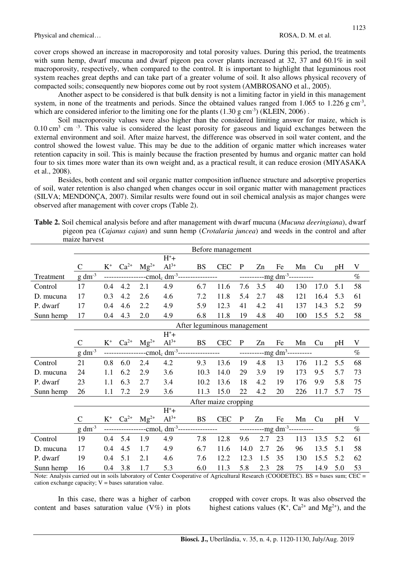cover crops showed an increase in macroporosity and total porosity values. During this period, the treatments with sunn hemp, dwarf mucuna and dwarf pigeon pea cover plants increased at 32, 37 and 60.1% in soil macroporosity, respectively, when compared to the control. It is important to highlight that leguminous root system reaches great depths and can take part of a greater volume of soil. It also allows physical recovery of compacted soils; consequently new biopores come out by root system (AMBROSANO et al., 2005).

Another aspect to be considered is that bulk density is not a limiting factor in yield in this management system, in none of the treatments and periods. Since the obtained values ranged from  $1.065$  to  $1.226$  g cm<sup>-3</sup>, which are considered inferior to the limiting one for the plants  $(1.30 \text{ g cm}^3)$  (KLEIN, 2006).

Soil macroporosity values were also higher than the considered limiting answer for maize, which is  $0.10 \text{ cm}^3$  cm  $^{-3}$ . This value is considered the least porosity for gaseous and liquid exchanges between the external environment and soil. After maize harvest, the difference was observed in soil water content, and the control showed the lowest value. This may be due to the addition of organic matter which increases water retention capacity in soil. This is mainly because the fraction presented by humus and organic matter can hold four to six times more water than its own weight and, as a practical result, it can reduce erosion (MIYASAKA et al., 2008).

Besides, both content and soil organic matter composition influence structure and adsorptive properties of soil, water retention is also changed when changes occur in soil organic matter with management practices (SILVA; MENDONÇA, 2007). Similar results were found out in soil chemical analysis as major changes were observed after management with cover crops (Table 2).

**Table 2.** Soil chemical analysis before and after management with dwarf mucuna (*Mucuna deeringiana*), dwarf pigeon pea (*Cajanus cajan*) and sunn hemp (*Crotalaria juncea*) and weeds in the control and after maize harvest

|           |              |       |           |                                                                                                                                                                                                                                                                                                           |                                  | Before management           |            |              |                                   |                                                                                                                                                                                                                                                                                                           |                                                  |      |     |      |
|-----------|--------------|-------|-----------|-----------------------------------------------------------------------------------------------------------------------------------------------------------------------------------------------------------------------------------------------------------------------------------------------------------|----------------------------------|-----------------------------|------------|--------------|-----------------------------------|-----------------------------------------------------------------------------------------------------------------------------------------------------------------------------------------------------------------------------------------------------------------------------------------------------------|--------------------------------------------------|------|-----|------|
|           |              |       |           |                                                                                                                                                                                                                                                                                                           | $H^+$ +                          |                             |            |              |                                   |                                                                                                                                                                                                                                                                                                           |                                                  |      |     |      |
|           | $\mathsf{C}$ | $K^+$ | $Ca^{2+}$ | $Mg^{2+}$                                                                                                                                                                                                                                                                                                 | $Al^{3+}$                        | <b>BS</b>                   | <b>CEC</b> | $\mathbf{P}$ | Zn                                | Fe                                                                                                                                                                                                                                                                                                        | Mn                                               | Cu   | pH  | V    |
| Treatment | $g dm-3$     |       |           |                                                                                                                                                                                                                                                                                                           |                                  |                             |            |              |                                   |                                                                                                                                                                                                                                                                                                           | <u>-----------mg</u> dm <sup>-3</sup> ---------- |      |     | $\%$ |
| Control   | 17           | 0.4   | 4.2       | 2.1                                                                                                                                                                                                                                                                                                       | 4.9                              | 6.7                         | 11.6       | 7.6          | 3.5                               | 40                                                                                                                                                                                                                                                                                                        | 130                                              | 17.0 | 5.1 | 58   |
| D. mucuna | 17           | 0.3   | 4.2       | 2.6                                                                                                                                                                                                                                                                                                       | 4.6                              | 7.2                         | 11.8       | 5.4          | 2.7                               | 48                                                                                                                                                                                                                                                                                                        | 121                                              | 16.4 | 5.3 | 61   |
| P. dwarf  | 17           | 0.4   | 4.6       | 2.2                                                                                                                                                                                                                                                                                                       | 4.9                              | 5.9                         | 12.3       | 41           | 4.2                               | 41                                                                                                                                                                                                                                                                                                        | 137                                              | 14.3 | 5.2 | 59   |
| Sunn hemp | 17           | 0.4   | 4.3       | 2.0                                                                                                                                                                                                                                                                                                       | 4.9                              | 6.8                         | 11.8       | 19           | 4.8                               | 40                                                                                                                                                                                                                                                                                                        | 100                                              | 15.5 | 5.2 | 58   |
|           |              |       |           |                                                                                                                                                                                                                                                                                                           |                                  | After leguminous management |            |              |                                   |                                                                                                                                                                                                                                                                                                           |                                                  |      |     |      |
|           |              |       |           |                                                                                                                                                                                                                                                                                                           | $H^+$ +                          |                             |            |              |                                   |                                                                                                                                                                                                                                                                                                           |                                                  |      |     |      |
|           | C            | $K^+$ | $Ca^{2+}$ | $Mg^{2+}$                                                                                                                                                                                                                                                                                                 | $Al^{3+}$                        | <b>BS</b>                   | <b>CEC</b> | $\mathbf{P}$ | Zn                                | Fe                                                                                                                                                                                                                                                                                                        | Mn                                               | Cu   | pH  | V    |
|           | $g dm^{-3}$  |       |           |                                                                                                                                                                                                                                                                                                           | $--cmolc dm-3$ ----------------- |                             |            |              | -------------mg dm <sup>3</sup> - |                                                                                                                                                                                                                                                                                                           |                                                  |      |     | $\%$ |
| Control   | 21           | 0.8   | 6.0       | 2.4                                                                                                                                                                                                                                                                                                       | 4.2                              | 9.3                         | 13.6       | 19           | 4.8                               | 13                                                                                                                                                                                                                                                                                                        | 176                                              | 11.2 | 5.5 | 68   |
| D. mucuna | 24           | 1.1   | 6.2       | 2.9                                                                                                                                                                                                                                                                                                       | 3.6                              | 10.3                        | 14.0       | 29           | 3.9                               | 19                                                                                                                                                                                                                                                                                                        | 173                                              | 9.5  | 5.7 | 73   |
| P. dwarf  | 23           | 1.1   | 6.3       | 2.7                                                                                                                                                                                                                                                                                                       | 3.4                              | 10.2                        | 13.6       | 18           | 4.2                               | 19                                                                                                                                                                                                                                                                                                        | 176                                              | 9.9  | 5.8 | 75   |
| Sunn hemp | 26           | 1.1   | 7.2       | 2.9                                                                                                                                                                                                                                                                                                       | 3.6                              | 11.3                        | 15.0       | 22           | 4.2                               | 20                                                                                                                                                                                                                                                                                                        | 226                                              | 11.7 | 5.7 | 75   |
|           |              |       |           |                                                                                                                                                                                                                                                                                                           |                                  | After maize cropping        |            |              |                                   |                                                                                                                                                                                                                                                                                                           |                                                  |      |     |      |
|           |              |       |           |                                                                                                                                                                                                                                                                                                           | $H^+$ +                          |                             |            |              |                                   |                                                                                                                                                                                                                                                                                                           |                                                  |      |     |      |
|           | $\mathsf{C}$ | $K^+$ | $Ca^{2+}$ | $Mg^{2+}$                                                                                                                                                                                                                                                                                                 | $Al^{3+}$                        | <b>BS</b>                   | <b>CEC</b> | $\mathbf P$  | Zn                                | Fe                                                                                                                                                                                                                                                                                                        | Mn                                               | Cu   | pH  | V    |
|           | $g dm^{-3}$  |       |           | $\frac{1}{2}$ = $\frac{1}{2}$ = $\frac{1}{2}$ = $\frac{1}{2}$ = $\frac{1}{2}$ = $\frac{1}{2}$ = $\frac{1}{2}$ = $\frac{1}{2}$ = $\frac{1}{2}$ = $\frac{1}{2}$ = $\frac{1}{2}$ = $\frac{1}{2}$ = $\frac{1}{2}$ = $\frac{1}{2}$ = $\frac{1}{2}$ = $\frac{1}{2}$ = $\frac{1}{2}$ = $\frac{1}{2}$ = $\frac{1$ |                                  | ----------                  |            |              |                                   | $\frac{1}{2}$ = $\frac{1}{2}$ = $\frac{1}{2}$ = $\frac{1}{2}$ = $\frac{1}{2}$ = $\frac{1}{2}$ = $\frac{1}{2}$ = $\frac{1}{2}$ = $\frac{1}{2}$ = $\frac{1}{2}$ = $\frac{1}{2}$ = $\frac{1}{2}$ = $\frac{1}{2}$ = $\frac{1}{2}$ = $\frac{1}{2}$ = $\frac{1}{2}$ = $\frac{1}{2}$ = $\frac{1}{2}$ = $\frac{1$ |                                                  |      |     | $\%$ |
| Control   | 19           | 0.4   | 5.4       | 1.9                                                                                                                                                                                                                                                                                                       | 4.9                              | 7.8                         | 12.8       | 9.6          | 2.7                               | 23                                                                                                                                                                                                                                                                                                        | 113                                              | 13.5 | 5.2 | 61   |
| D. mucuna | 17           | 0.4   | 4.5       | 1.7                                                                                                                                                                                                                                                                                                       | 4.9                              | 6.7                         | 11.6       | 14.0         | 2.7                               | 26                                                                                                                                                                                                                                                                                                        | 96                                               | 13.5 | 5.1 | 58   |
| P. dwarf  | 19           | 0.4   | 5.1       | 2.1                                                                                                                                                                                                                                                                                                       | 4.6                              | 7.6                         | 12.2       | 12.3         | 1.5                               | 35                                                                                                                                                                                                                                                                                                        | 130                                              | 15.5 | 5.2 | 62   |
| Sunn hemp | 16           | 0.4   | 3.8       | 1.7                                                                                                                                                                                                                                                                                                       | 5.3                              | 6.0                         | 11.3       | 5.8          | 2.3                               | 28                                                                                                                                                                                                                                                                                                        | 75                                               | 14.9 | 5.0 | 53   |

Note: Analysis carried out in soils laboratory of Center Cooperative of Agricultural Research (COODETEC). BS = bases sum; CEC = cation exchange capacity;  $V =$  bases saturation value.

In this case, there was a higher of carbon content and bases saturation value  $(V\%)$  in plots

cropped with cover crops. It was also observed the highest cations values  $(K^+, Ca^{2+}$  and  $Mg^{2+})$ , and the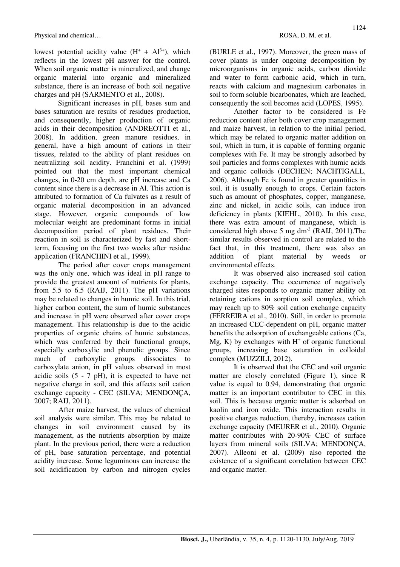lowest potential acidity value  $(H^+ + Al^{3+})$ , which reflects in the lowest pH answer for the control. When soil organic matter is mineralized, and change organic material into organic and mineralized substance, there is an increase of both soil negative charges and pH (SARMENTO et al., 2008).

Significant increases in pH, bases sum and bases saturation are results of residues production, and consequently, higher production of organic acids in their decomposition (ANDREOTTI et al., 2008). In addition, green manure residues, in general, have a high amount of cations in their tissues, related to the ability of plant residues on neutralizing soil acidity. Franchini et al. (1999) pointed out that the most important chemical changes, in 0-20 cm depth, are pH increase and Ca content since there is a decrease in Al. This action is attributed to formation of Ca fulvates as a result of organic material decomposition in an advanced stage. However, organic compounds of low molecular weight are predominant forms in initial decomposition period of plant residues. Their reaction in soil is characterized by fast and shortterm, focusing on the first two weeks after residue application (FRANCHINI et al., 1999).

The period after cover crops management was the only one, which was ideal in pH range to provide the greatest amount of nutrients for plants, from 5.5 to 6.5 (RAIJ, 2011). The pH variations may be related to changes in humic soil. In this trial, higher carbon content, the sum of humic substances and increase in pH were observed after cover crops management. This relationship is due to the acidic properties of organic chains of humic substances, which was conferred by their functional groups, especially carboxylic and phenolic groups. Since much of carboxylic groups dissociates to carboxylate anion, in pH values observed in most acidic soils (5 - 7 pH), it is expected to have net negative charge in soil, and this affects soil cation exchange capacity - CEC (SILVA; MENDONÇA, 2007; RAIJ, 2011).

After maize harvest, the values of chemical soil analysis were similar. This may be related to changes in soil environment caused by its management, as the nutrients absorption by maize plant. In the previous period, there were a reduction of pH, base saturation percentage, and potential acidity increase. Some leguminous can increase the soil acidification by carbon and nitrogen cycles (BURLE et al., 1997). Moreover, the green mass of cover plants is under ongoing decomposition by microorganisms in organic acids, carbon dioxide and water to form carbonic acid, which in turn, reacts with calcium and magnesium carbonates in soil to form soluble bicarbonates, which are leached, consequently the soil becomes acid (LOPES, 1995).

Another factor to be considered is Fe reduction content after both cover crop management and maize harvest, in relation to the initial period, which may be related to organic matter addition on soil, which in turn, it is capable of forming organic complexes with Fe. It may be strongly adsorbed by soil particles and forms complexes with humic acids and organic colloids (DECHEN; NACHTIGALL, 2006). Although Fe is found in greater quantities in soil, it is usually enough to crops. Certain factors such as amount of phosphates, copper, manganese, zinc and nickel, in acidic soils, can induce iron deficiency in plants (KIEHL, 2010). In this case, there was extra amount of manganese, which is considered high above 5 mg dm<sup>-3</sup> (RAIJ, 2011). The similar results observed in control are related to the fact that, in this treatment, there was also an addition of plant material by weeds or environmental effects.

It was observed also increased soil cation exchange capacity. The occurrence of negatively charged sites responds to organic matter ability on retaining cations in sorption soil complex, which may reach up to 80% soil cation exchange capacity (FERREIRA et al., 2010). Still, in order to promote an increased CEC-dependent on pH, organic matter benefits the adsorption of exchangeable cations (Ca,  $Mg$ , K) by exchanges with  $H<sup>+</sup>$  of organic functional groups, increasing base saturation in colloidal complex (MUZZILI, 2012).

It is observed that the CEC and soil organic matter are closely correlated (Figure 1), since R value is equal to 0.94, demonstrating that organic matter is an important contributor to CEC in this soil. This is because organic matter is adsorbed on kaolin and iron oxide. This interaction results in positive charges reduction, thereby, increases cation exchange capacity (MEURER et al., 2010). Organic matter contributes with 20-90% CEC of surface layers from mineral soils (SILVA; MENDONÇA, 2007). Alleoni et al. (2009) also reported the existence of a significant correlation between CEC and organic matter.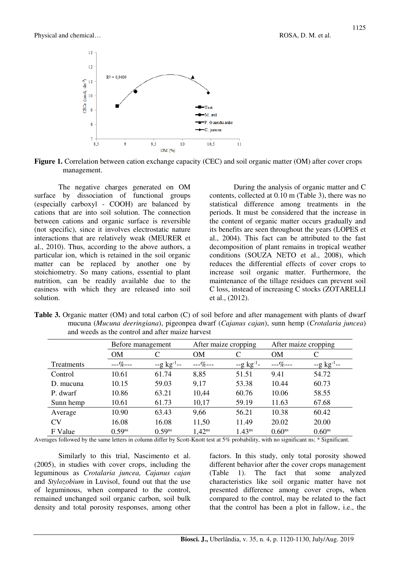



The negative charges generated on OM surface by dissociation of functional groups (especially carboxyl - COOH) are balanced by cations that are into soil solution. The connection between cations and organic surface is reversible (not specific), since it involves electrostatic nature interactions that are relatively weak (MEURER et al., 2010). Thus, according to the above authors, a particular ion, which is retained in the soil organic matter can be replaced by another one by stoichiometry. So many cations, essential to plant nutrition, can be readily available due to the easiness with which they are released into soil solution.

During the analysis of organic matter and C contents, collected at 0.10 m (Table 3), there was no statistical difference among treatments in the periods. It must be considered that the increase in the content of organic matter occurs gradually and its benefits are seen throughout the years (LOPES et al., 2004). This fact can be attributed to the fast decomposition of plant remains in tropical weather conditions (SOUZA NETO et al., 2008), which reduces the differential effects of cover crops to increase soil organic matter. Furthermore, the maintenance of the tillage residues can prevent soil C loss, instead of increasing C stocks (ZOTARELLI et al., (2012).

|            | Before management  |                         |             | After maize cropping |                    | After maize cropping |  |  |
|------------|--------------------|-------------------------|-------------|----------------------|--------------------|----------------------|--|--|
|            | <b>OM</b>          | C                       | <b>OM</b>   | C                    | <b>OM</b>          | C                    |  |  |
| Treatments | $- -\% - -$        | $-g \text{ kg}^{-1}$ -- | $---\%---$  | $-g \text{ kg}^{-1}$ | $--\%---$          | $-g$ $kg^{-1}$       |  |  |
| Control    | 10.61              | 61.74                   | 8,85        | 51.51                | 9.41               | 54.72                |  |  |
| D. mucuna  | 10.15              | 59.03                   | 9,17        | 53.38                | 10.44              | 60.73                |  |  |
| P. dwarf   | 10.86              | 63.21                   | 10,44       | 60.76                | 10.06              | 58.55                |  |  |
| Sunn hemp  | 10.61              | 61.73                   | 10,17       | 59.19                | 11.63              | 67.68                |  |  |
| Average    | 10.90              | 63.43                   | 9,66        | 56.21                | 10.38              | 60.42                |  |  |
| CV         | 16.08              | 16.08                   | 11,50       | 11.49                | 20.02              | 20.00                |  |  |
| F Value    | 0.59 <sup>ns</sup> | $0.59^{ns}$             | $1,42^{ns}$ | $1.43^{ns}$          | 0.60 <sup>ns</sup> | 0.60 <sup>ns</sup>   |  |  |

**Table 3.** Organic matter (OM) and total carbon (C) of soil before and after management with plants of dwarf mucuna (*Mucuna deeringiana*), pigeonpea dwarf (*Cajanus cajan*), sunn hemp (*Crotalaria juncea*) and weeds as the control and after maize harvest

Averages followed by the same letters in column differ by Scott-Knott test at 5% probability, with no significant ns; \* Significant.

Similarly to this trial, Nascimento et al. (2005), in studies with cover crops, including the leguminous as *Crotalaria juncea, Cajanus cajan* and *Stylozobium* in Luvisol, found out that the use of leguminous, when compared to the control, remained unchanged soil organic carbon, soil bulk density and total porosity responses, among other factors. In this study, only total porosity showed different behavior after the cover crops management (Table 1). The fact that some analyzed characteristics like soil organic matter have not presented difference among cover crops, when compared to the control, may be related to the fact that the control has been a plot in fallow, i.e., the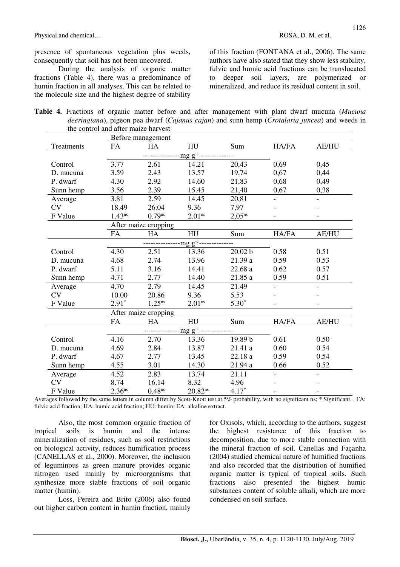presence of spontaneous vegetation plus weeds, consequently that soil has not been uncovered.

During the analysis of organic matter fractions (Table 4), there was a predominance of humin fraction in all analyses. This can be related to the molecule size and the highest degree of stability of this fraction (FONTANA et al., 2006). The same authors have also stated that they show less stability, fulvic and humic acid fractions can be translocated to deeper soil layers, are polymerized or mineralized, and reduce its residual content in soil.

|  |                                     |  |  |  | <b>Table 4.</b> Fractions of organic matter before and after management with plant dwarf mucuna (Mucuna |  |  |  |
|--|-------------------------------------|--|--|--|---------------------------------------------------------------------------------------------------------|--|--|--|
|  |                                     |  |  |  | <i>deeringiana</i> ), pigeon pea dwarf (Cajanus cajan) and sunn hemp (Crotalaria juncea) and weeds in   |  |  |  |
|  | the control and after maize harvest |  |  |  |                                                                                                         |  |  |  |

|            |                    | Before management    |                                |             |       |                |  |  |  |  |  |
|------------|--------------------|----------------------|--------------------------------|-------------|-------|----------------|--|--|--|--|--|
| Treatments | FA                 | HA                   | HU<br>$\frac{mg}{g^{-1}$ ----- | Sum         | HA/FA | <b>AE/HU</b>   |  |  |  |  |  |
|            |                    |                      |                                |             |       |                |  |  |  |  |  |
| Control    | 3.77               | 2.61                 | 14.21                          | 20,43       | 0,69  | 0,45           |  |  |  |  |  |
| D. mucuna  | 3.59               | 2.43                 | 13.57                          | 19,74       | 0,67  | 0,44           |  |  |  |  |  |
| P. dwarf   | 4.30               | 2.92                 | 14.60                          | 21,83       | 0,68  | 0,49           |  |  |  |  |  |
| Sunn hemp  | 3.56               | 2.39                 | 15.45                          | 21,40       | 0,67  | 0,38           |  |  |  |  |  |
| Average    | 3.81               | 2.59                 | 14.45                          | 20,81       |       | $\blacksquare$ |  |  |  |  |  |
| CV         | 18.49              | 26.04                | 9.36                           | 7,97        |       |                |  |  |  |  |  |
| F Value    | $1.43^{ns}$        | $0.79$ <sup>ns</sup> | 2.01 <sup>ns</sup>             | $2,05^{ns}$ |       |                |  |  |  |  |  |
|            |                    | After maize cropping |                                |             |       |                |  |  |  |  |  |
|            | <b>FA</b>          | HA                   | HU                             | Sum         | HA/FA | <b>AE/HU</b>   |  |  |  |  |  |
|            |                    |                      | $-mg g^{-1}$                   |             |       |                |  |  |  |  |  |
| Control    | 4.30               | 2.51                 | 13.36                          | 20.02 b     | 0.58  | 0.51           |  |  |  |  |  |
| D. mucuna  | 4.68               | 2.74                 | 13.96                          | 21.39 a     | 0.59  | 0.53           |  |  |  |  |  |
| P. dwarf   | 5.11               | 3.16                 | 14.41                          | 22.68a      | 0.62  | 0.57           |  |  |  |  |  |
| Sunn hemp  | 4.71               | 2.77                 | 14.40                          | 21.85 a     | 0.59  | 0.51           |  |  |  |  |  |
| Average    | 4.70               | 2.79                 | 14.45                          | 21.49       |       |                |  |  |  |  |  |
| <b>CV</b>  | 10.00              | 20.86                | 9.36                           | 5.53        |       |                |  |  |  |  |  |
| F Value    | $2.91*$            | $1.25^{ns}$          | 2.01 <sup>ns</sup>             | $5.30*$     |       |                |  |  |  |  |  |
|            |                    | After maize cropping |                                |             |       |                |  |  |  |  |  |
|            | FA                 | HA                   | HU                             | Sum         | HA/FA | <b>AE/HU</b>   |  |  |  |  |  |
|            |                    |                      | $mg g^{-1}$                    |             |       |                |  |  |  |  |  |
| Control    | 4.16               | 2.70                 | 13.36                          | 19.89 b     | 0.61  | 0.50           |  |  |  |  |  |
| D. mucuna  | 4.69               | 2.84                 | 13.87                          | 21.41 a     | 0.60  | 0.54           |  |  |  |  |  |
| P. dwarf   | 4.67               | 2.77                 | 13.45                          | 22.18 a     | 0.59  | 0.54           |  |  |  |  |  |
| Sunn hemp  | 4.55               | 3.01                 | 14.30                          | 21.94 a     | 0.66  | 0.52           |  |  |  |  |  |
| Average    | 4.52               | 2.83                 | 13.74                          | 21.11       |       |                |  |  |  |  |  |
| <b>CV</b>  | 8.74               | 16.14                | 8.32                           | 4.96        |       |                |  |  |  |  |  |
| F Value    | 2.36 <sup>ns</sup> | 0.48 <sup>ns</sup>   | $20.82^{ns}$                   | $4.17*$     |       |                |  |  |  |  |  |

Averages followed by the same letters in column differ by Scott-Knott test at 5% probability, with no significant ns; \* Significant. . FA: fulvic acid fraction; HA: humic acid fraction; HU: humin; EA: alkaline extract.

Also, the most common organic fraction of tropical soils is humin and the intense mineralization of residues, such as soil restrictions on biological activity, reduces humification process (CANELLAS et al., 2000). Moreover, the inclusion of leguminous as green manure provides organic nitrogen used mainly by microorganisms that synthesize more stable fractions of soil organic matter (humin).

Loss, Pereira and Brito (2006) also found out higher carbon content in humin fraction, mainly for Oxisols, which, according to the authors, suggest the highest resistance of this fraction to decomposition, due to more stable connection with the mineral fraction of soil. Canellas and Façanha (2004) studied chemical nature of humified fractions and also recorded that the distribution of humified organic matter is typical of tropical soils. Such fractions also presented the highest humic substances content of soluble alkali, which are more condensed on soil surface.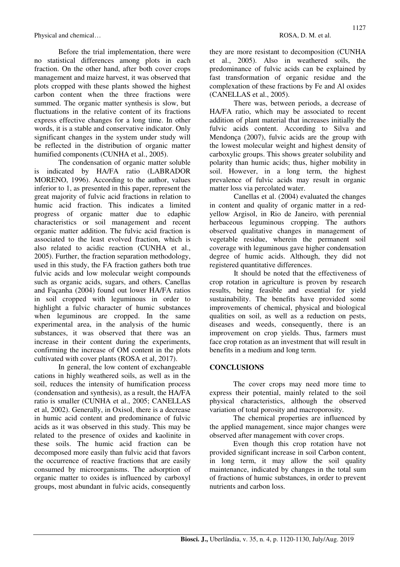Physical and chemical… **ROSA, D. M. et al. ROSA, D. M. et al.** 

Before the trial implementation, there were no statistical differences among plots in each fraction. On the other hand, after both cover crops management and maize harvest, it was observed that plots cropped with these plants showed the highest carbon content when the three fractions were summed. The organic matter synthesis is slow, but fluctuations in the relative content of its fractions express effective changes for a long time. In other words, it is a stable and conservative indicator. Only significant changes in the system under study will be reflected in the distribution of organic matter humified components (CUNHA et al., 2005).

The condensation of organic matter soluble is indicated by HA/FA ratio (LABRADOR MORENO, 1996). According to the author, values inferior to 1, as presented in this paper, represent the great majority of fulvic acid fractions in relation to humic acid fraction. This indicates a limited progress of organic matter due to edaphic characteristics or soil management and recent organic matter addition. The fulvic acid fraction is associated to the least evolved fraction, which is also related to acidic reaction (CUNHA et al., 2005). Further, the fraction separation methodology, used in this study, the FA fraction gathers both true fulvic acids and low molecular weight compounds such as organic acids, sugars, and others. Canellas and Façanha (2004) found out lower HA/FA ratios in soil cropped with leguminous in order to highlight a fulvic character of humic substances when leguminous are cropped. In the same experimental area, in the analysis of the humic substances, it was observed that there was an increase in their content during the experiments, confirming the increase of OM content in the plots cultivated with cover plants (ROSA et al, 2017).

In general, the low content of exchangeable cations in highly weathered soils, as well as in the soil, reduces the intensity of humification process (condensation and synthesis), as a result, the HA/FA ratio is smaller (CUNHA et al., 2005; CANELLAS et al, 2002). Generally, in Oxisol, there is a decrease in humic acid content and predominance of fulvic acids as it was observed in this study. This may be related to the presence of oxides and kaolinite in these soils. The humic acid fraction can be decomposed more easily than fulvic acid that favors the occurrence of reactive fractions that are easily consumed by microorganisms. The adsorption of organic matter to oxides is influenced by carboxyl groups, most abundant in fulvic acids, consequently they are more resistant to decomposition (CUNHA et al., 2005). Also in weathered soils, the predominance of fulvic acids can be explained by fast transformation of organic residue and the complexation of these fractions by Fe and Al oxides (CANELLAS et al., 2005).

There was, between periods, a decrease of HA/FA ratio, which may be associated to recent addition of plant material that increases initially the fulvic acids content. According to Silva and Mendonça (2007), fulvic acids are the group with the lowest molecular weight and highest density of carboxylic groups. This shows greater solubility and polarity than humic acids; thus, higher mobility in soil. However, in a long term, the highest prevalence of fulvic acids may result in organic matter loss via percolated water.

Canellas et al. (2004) evaluated the changes in content and quality of organic matter in a redyellow Argisol, in Rio de Janeiro, with perennial herbaceous leguminous cropping. The authors observed qualitative changes in management of vegetable residue, wherein the permanent soil coverage with leguminous gave higher condensation degree of humic acids. Although, they did not registered quantitative differences.

It should be noted that the effectiveness of crop rotation in agriculture is proven by research results, being feasible and essential for yield sustainability. The benefits have provided some improvements of chemical, physical and biological qualities on soil, as well as a reduction on pests, diseases and weeds, consequently, there is an improvement on crop yields. Thus, farmers must face crop rotation as an investment that will result in benefits in a medium and long term.

### **CONCLUSIONS**

The cover crops may need more time to express their potential, mainly related to the soil physical characteristics, although the observed variation of total porosity and macroporosity.

The chemical properties are influenced by the applied management, since major changes were observed after management with cover crops.

Even though this crop rotation have not provided significant increase in soil Carbon content, in long term, it may allow the soil quality maintenance, indicated by changes in the total sum of fractions of humic substances, in order to prevent nutrients and carbon loss.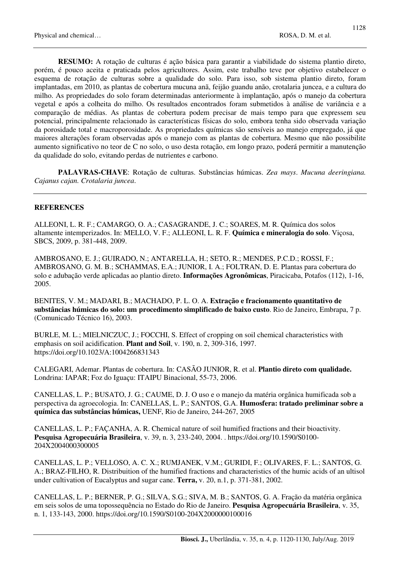**RESUMO:** A rotação de culturas é ação básica para garantir a viabilidade do sistema plantio direto, porém, é pouco aceita e praticada pelos agricultores. Assim, este trabalho teve por objetivo estabelecer o esquema de rotação de culturas sobre a qualidade do solo. Para isso, sob sistema plantio direto, foram implantadas, em 2010, as plantas de cobertura mucuna anã, feijão guandu anão, crotalaria juncea, e a cultura do milho. As propriedades do solo foram determinadas anteriormente à implantação, após o manejo da cobertura vegetal e após a colheita do milho. Os resultados encontrados foram submetidos à análise de variância e a comparação de médias. As plantas de cobertura podem precisar de mais tempo para que expressem seu potencial, principalmente relacionado às características físicas do solo, embora tenha sido observada variação da porosidade total e macroporosidade. As propriedades químicas são sensíveis ao manejo empregado, já que maiores alterações foram observadas após o manejo com as plantas de cobertura. Mesmo que não possibilite aumento significativo no teor de C no solo, o uso desta rotação, em longo prazo, poderá permitir a manutenção da qualidade do solo, evitando perdas de nutrientes e carbono.

**PALAVRAS-CHAVE**: Rotação de culturas. Substâncias húmicas. *Zea mays*. *Mucuna deeringiana. Cajanus cajan. Crotalaria juncea*.

### **REFERENCES**

ALLEONI, L. R. F.; CAMARGO, O. A.; CASAGRANDE, J. C.; SOARES, M. R. Química dos solos altamente intemperizados. In: MELLO, V. F.; ALLEONI, L. R. F. **Química e mineralogia do solo**. Viçosa, SBCS, 2009, p. 381-448, 2009.

AMBROSANO, E. J.; GUIRADO, N.; ANTARELLA, H.; SETO, R.; MENDES, P.C.D.; ROSSI, F.; AMBROSANO, G. M. B.; SCHAMMAS, E.A.; JUNIOR, I. A.; FOLTRAN, D. E. Plantas para cobertura do solo e adubação verde aplicadas ao plantio direto. **Informações Agronômicas**, Piracicaba, Potafos (112), 1-16, 2005.

BENITES, V. M.; MADARI, B.; MACHADO, P. L. O. A. **Extração e fracionamento quantitativo de substâncias húmicas do solo: um procedimento simplificado de baixo custo**. Rio de Janeiro, Embrapa, 7 p. (Comunicado Técnico 16), 2003.

BURLE, M. L.; MIELNICZUC, J.; FOCCHI, S. Effect of cropping on soil chemical characteristics with emphasis on soil acidification. **Plant and Soil**, v. 190, n. 2, 309-316, 1997. https://doi.org/10.1023/A:1004266831343

CALEGARI, Ademar. Plantas de cobertura. In: CASÃO JUNIOR, R. et al. **Plantio direto com qualidade.** Londrina: IAPAR; Foz do Iguaçu: ITAIPU Binacional, 55-73, 2006.

CANELLAS, L. P.; BUSATO, J. G.; CAUME, D. J. O uso e o manejo da matéria orgânica humificada sob a perspectiva da agroecologia. In: CANELLAS, L. P.; SANTOS, G.A. **Humosfera: tratado preliminar sobre a química das substâncias húmicas,** UENF, Rio de Janeiro, 244-267, 2005

CANELLAS, L. P.; FAÇANHA, A. R. Chemical nature of soil humified fractions and their bioactivity. **Pesquisa Agropecuária Brasileira**, v. 39, n. 3, 233-240, 2004. . https://doi.org/10.1590/S0100- 204X2004000300005

CANELLAS, L. P.; VELLOSO, A. C. X.; RUMJANEK, V.M.; GURIDI, F.; OLIVARES, F. L.; SANTOS, G. A.; BRAZ-FILHO, R. Distribuition of the humified fractions and characteristics of the humic acids of an ultisol under cultivation of Eucalyptus and sugar cane. **Terra,** v. 20, n.1, p. 371-381, 2002.

CANELLAS, L. P.; BERNER, P. G.; SILVA, S.G.; SIVA, M. B.; SANTOS, G. A. Fração da matéria orgânica em seis solos de uma topossequência no Estado do Rio de Janeiro. **Pesquisa Agropecuária Brasileira**, v. 35, n. 1, 133-143, 2000. https://doi.org/10.1590/S0100-204X2000000100016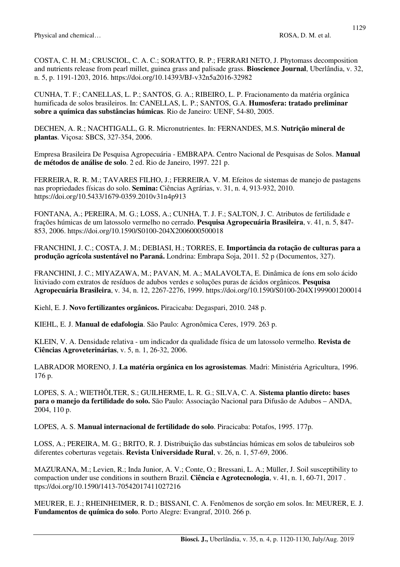COSTA, C. H. M.; CRUSCIOL, C. A. C.; SORATTO, R. P.; FERRARI NETO, J. Phytomass decomposition and nutrients release from pearl millet, guinea grass and palisade grass. **Bioscience Journal**, Uberlândia, v. 32, n. 5, p. 1191-1203, 2016. https://doi.org/10.14393/BJ-v32n5a2016-32982

CUNHA, T. F.; CANELLAS, L. P.; SANTOS, G. A.; RIBEIRO, L. P. Fracionamento da matéria orgânica humificada de solos brasileiros. In: CANELLAS, L. P.; SANTOS, G.A. **Humosfera: tratado preliminar sobre a química das substâncias húmicas**. Rio de Janeiro: UENF, 54-80, 2005.

DECHEN, A. R.; NACHTIGALL, G. R. Micronutrientes. In: FERNANDES, M.S. **Nutrição mineral de plantas**. Viçosa: SBCS, 327-354, 2006.

Empresa Brasileira De Pesquisa Agropecuária - EMBRAPA. Centro Nacional de Pesquisas de Solos. **Manual de métodos de análise de solo**. 2 ed. Rio de Janeiro, 1997. 221 p.

FERREIRA, R. R. M.; TAVARES FILHO, J.; FERREIRA. V. M. Efeitos de sistemas de manejo de pastagens nas propriedades físicas do solo. **Semina:** Ciências Agrárias, v. 31, n. 4, 913-932, 2010. https://doi.org/10.5433/1679-0359.2010v31n4p913

FONTANA, A.; PEREIRA, M. G.; LOSS, A.; CUNHA, T. J. F.; SALTON, J. C. Atributos de fertilidade e frações húmicas de um latossolo vermelho no cerrado. **Pesquisa Agropecuária Brasileira**, v. 41, n. 5, 847- 853, 2006. https://doi.org/10.1590/S0100-204X2006000500018

FRANCHINI, J. C.; COSTA, J. M.; DEBIASI, H.; TORRES, E. **Importância da rotação de culturas para a produção agrícola sustentável no Paraná.** Londrina: Embrapa Soja, 2011. 52 p (Documentos, 327).

FRANCHINI, J. C.; MIYAZAWA, M.; PAVAN, M. A.; MALAVOLTA, E. Dinâmica de íons em solo ácido lixiviado com extratos de resíduos de adubos verdes e soluções puras de ácidos orgânicos. **Pesquisa Agropecuária Brasileira**, v. 34, n. 12, 2267-2276, 1999. https://doi.org/10.1590/S0100-204X1999001200014

Kiehl, E. J. **Novo fertilizantes orgânicos.** Piracicaba: Degaspari, 2010. 248 p.

KIEHL, E. J. **Manual de edafologia**. São Paulo: Agronômica Ceres, 1979. 263 p.

KLEIN, V. A. Densidade relativa - um indicador da qualidade física de um latossolo vermelho. **Revista de Ciências Agroveterinárias**, v. 5, n. 1, 26-32, 2006.

LABRADOR MORENO, J. **La matéria orgánica en los agrosistemas**. Madri: Ministéria Agricultura, 1996. 176 p.

LOPES, S. A.; WIETHÕLTER, S.; GUILHERME, L. R. G.; SILVA, C. A. **Sistema plantio direto: bases para o manejo da fertilidade do solo.** São Paulo: Associação Nacional para Difusão de Adubos – ANDA, 2004, 110 p.

LOPES, A. S. **Manual internacional de fertilidade do solo**. Piracicaba: Potafos, 1995. 177p.

LOSS, A.; PEREIRA, M. G.; BRITO, R. J. Distribuição das substâncias húmicas em solos de tabuleiros sob diferentes coberturas vegetais. **Revista Universidade Rural**, v. 26, n. 1, 57-69, 2006.

MAZURANA, M.; Levien, R.; Inda Junior, A. V.; Conte, O.; Bressani, L. A.; Müller, J. Soil susceptibility to compaction under use conditions in southern Brazil. **Ciência e Agrotecnologia**, v. 41, n. 1, 60-71, 2017 . ttps://doi.org/10.1590/1413-70542017411027216

MEURER, E. J.; RHEINHEIMER, R. D.; BISSANI, C. A. Fenômenos de sorção em solos. In: MEURER, E. J. **Fundamentos de química do solo**. Porto Alegre: Evangraf, 2010. 266 p.